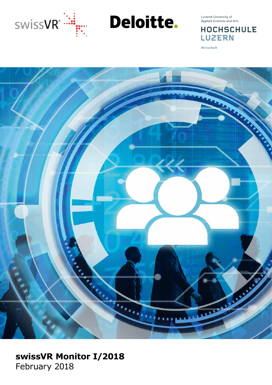

Deloitte.

Lucerne University of<br>Applied Sciences and Arts

**HOCHSCHULE LUZERN** 

Wirtschaft



# **swissVR Monitor I/2018** February 2018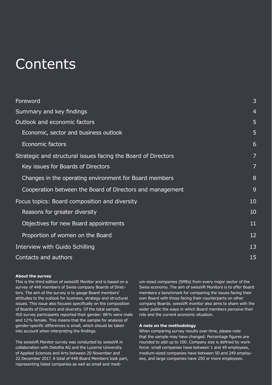# **Contents**

| Foreword                                                      | 3              |  |  |  |
|---------------------------------------------------------------|----------------|--|--|--|
| Summary and key findings                                      | $\overline{4}$ |  |  |  |
| Outlook and economic factors                                  |                |  |  |  |
| Economic, sector and business outlook                         | 5              |  |  |  |
| Economic factors                                              | 6              |  |  |  |
| Strategic and structural issues facing the Board of Directors | 7              |  |  |  |
| Key issues for Boards of Directors                            | 7              |  |  |  |
| Changes in the operating environment for Board members        | 8              |  |  |  |
| Cooperation between the Board of Directors and management     | 9              |  |  |  |
| Focus topics: Board composition and diversity                 |                |  |  |  |
| Reasons for greater diversity                                 | 10             |  |  |  |
| Objectives for new Board appointments                         | 11             |  |  |  |
| Proportion of women on the Board                              | 12             |  |  |  |
| Interview with Guido Schilling                                | 13             |  |  |  |
| Contacts and authors                                          |                |  |  |  |

### **About the survey**

This is the third edition of swissVR Monitor and is based on a survey of 448 members of Swiss company Boards of Directors. The aim of the survey is to gauge Board members' attitudes to the outlook for business, strategy and structural issues. This issue also focuses specifically on the composition of Boards of Directors and diversity. Of the total sample, 410 survey participants reported their gender: 88% were male and 12% female. This means that the sample for analysis of gender-specific differences is small, which should be taken into account when interpreting the findings.

The swissVR Monitor survey was conducted by swissVR in collaboration with Deloitte AG and the Lucerne University of Applied Sciences and Arts between 20 November and 22 December 2017. A total of 448 Board Members took part, representing listed companies as well as small and medium-sized companies (SMEs) from every major sector of the Swiss economy. The aim of swissVR Monitors is to offer Board members a benchmark for comparing the issues facing their own Board with those facing their counterparts on other company Boards. swissVR monitor also aims to share with the wider public the ways in which Board members perceive their role and the current economic situation.

### **A note on the methodology**

When comparing survey results over time, please note that the sample may have changed. Percentage figures are rounded to add up to 100. Company size is defined by workforce: small companies have between 1 and 49 employees, medium-sized companies have between 50 and 249 employees, and large companies have 250 or more employees.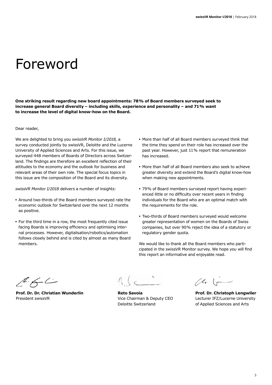# Foreword

**One striking result regarding new board appointments: 78% of Board members surveyed seek to increase general Board diversity – including skills, experience and personality – and 71% want to increase the level of digital know-how on the Board.**

Dear reader,

We are delighted to bring you *swissVR Monitor I/2018,* a survey conducted jointly by swissVR, Deloitte and the Lucerne University of Applied Sciences and Arts. For this issue, we surveyed 448 members of Boards of Directors across Switzerland. The findings are therefore an excellent reflection of their attitudes to the economy and the outlook for business and relevant areas of their own role. The special focus topics in this issue are the composition of the Board and its diversity.

*swissVR Monitor I/2018* delivers a number of insights:

- **•** Around two-thirds of the Board members surveyed rate the economic outlook for Switzerland over the next 12 months as positive.
- **•** For the third time in a row, the most frequently cited issue facing Boards is improving efficiency and optimising internal processes. However, digitalisation/robotics/automation follows closely behind and is cited by almost as many Board members.
- **•** More than half of all Board members surveyed think that the time they spend on their role has increased over the past year. However, just 11% report that remuneration has increased.
- **•** More than half of all Board members also seek to achieve greater diversity and extend the Board's digital know-how when making new appointments.
- **•** 79% of Board members surveyed report having experienced little or no difficulty over recent years in finding individuals for the Board who are an optimal match with the requirements for the role.
- **•** Two-thirds of Board members surveyed would welcome greater representation of women on the Boards of Swiss companies, but over 90% reject the idea of a statutory or regulatory gender quota.

We would like to thank all the Board members who participated in the swissVR Monitor survey. We hope you will find this report an informative and enjoyable read.

 $266$ 

President swissVR Vice Chairman & Deputy CEO Lecturer IFZ/Lucerne University

 $(4.1$ 

**Prof. Dr. Dr. Christian Wunderlin Reto Savoia Prof. Dr. Christoph Lengwiler** Deloitte Switzerland **Deloitte Switzerland** of Applied Sciences and Arts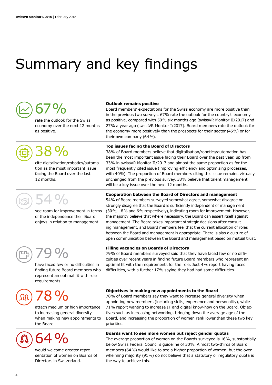# Summary and key findings

# 67%

rate the outlook for the Swiss economy over the next 12 months as positive.

# 38%

cite digitalisation/robotics/automation as the most important issue facing the Board over the last 12 months.

54%

see room for improvement in terms of the independence their Board enjoys in relation to management.

## **Outlook remains positive**

Board members' expectations for the Swiss economy are more positive than in the previous two surveys. 67% rate the outlook for the country's economy as positive, compared with 50% six months ago (swissVR Monitor II/2017) and 27% a year ago (swissVR Monitor I/2017). Board members rate the outlook for the economy more positively than the prospects for their sector (45%) or for their own company (64%).

### **Top issues facing the Board of Directors**

**Filling vacancies on Boards of Directors**

38% of Board members believe that digitalisation/robotics/automation has been the most important issue facing their Board over the past year, up from 33% in swissVR Monitor II/2017 and almost the same proportion as for the most frequently cited issue (improving efficiency and optimising processes, with 40%). The proportion of Board members citing this issue remains virtually unchanged from the previous survey. 33% believe that talent management will be a key issue over the next 12 months.

### **Cooperation between the Board of Directors and management**

54% of Board members surveyed somewhat agree, somewhat disagree or strongly disagree that the Board is sufficiently independent of management (30%, 18% and 6% respectively), indicating room for improvement. However, the majority believe that where necessary, the Board can assert itself against management. The Board takes important strategic decisions after consulting management, and Board members feel that the current allocation of roles between the Board and management is appropriate. There is also a culture of open communication between the Board and management based on mutual trust.

79% of Board members surveyed said that they have faced few or no difficulties over recent years in finding future Board members who represent an optimal fit with the requirements for the role. Just 4% report having faced difficulties, with a further 17% saying they had had some difficulties.

79%

have faced few or no difficulties in finding future Board members who represent an optimal fit with role requirements.

78%

attach medium or high importance to increasing general diversity when making new appointments to the Board.

64 %

would welcome greater representation of women on Boards of Directors in Switzerland.

### **Objectives in making new appointments to the Board**

78% of Board members say they want to increase general diversity when appointing new members (including skills, experience and personality), while 71% report wanting to increase IT and digital know-how on the Board. Objectives such as increasing networking, bringing down the average age of the Board, and increasing the proportion of women rank lower than these two key priorities.

### **Boards want to see more women but reject gender quotas**

The average proportion of women on the Boards surveyed is 16%, substantially below Swiss Federal Council's guideline of 30%. Almost two-thirds of Board members (64%) would like to see a higher proportion of women, but the overwhelming majority (91%) do not believe that a statutory or regulatory quota is the way to achieve this.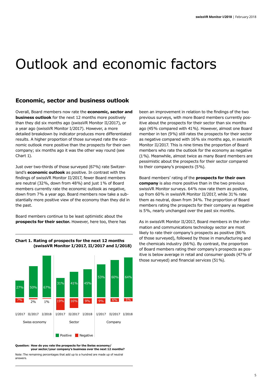# Outlook and economic factors

## **Economic, sector and business outlook**

Overall, Board members now rate the **economic, sector and business outlook** for the next 12 months more positively than they did six months ago (swissVR Monitor II/2017), or a year ago (swissVR Monitor I/2017). However, a more detailed breakdown by indicator produces more differentiated results. A higher proportion of those surveyed rate the economic outlook more positive than the prospects for their own company; six months ago it was the other way round (see Chart 1).

Just over two-thirds of those surveyed (67%) rate Switzerland's **economic outlook** as positive. In contrast with the findings of swissVR Monitor II/2017, fewer Board members are neutral (32%, down from 48%) and just 1% of Board members currently rate the economic outlook as negative, down from 7% a year ago. Board members now take a substantially more positive view of the economy than they did in the past.

Board members continue to be least optimistic about the **prospects for their sector.** However, here too, there has



**Chart 1. Rating of prospects for the next 12 months (swissVR Monitor I/2017, II/2017 and I/2018)**

**Question: How do you rate the prospects for the Swiss economy/ your sector/your company's business over the next 12 months?**

Note: The remaining percentages that add up to a hundred are made up of neutral answers.

been an improvement in relation to the findings of the two previous surveys, with more Board members currently positive about the prospects for their sector than six months ago (45% compared with 41%). However, almost one Board member in ten (9%) still rates the prospects for their sector as negative compared with 16% six months ago, in swissVR Monitor II/2017. This is nine times the proportion of Board members who rate the outlook for the economy as negative (1%). Meanwhile, almost twice as many Board members are pessimistic about the prospects for their sector compared to their company's prospects (5%).

Board members' rating of the **prospects for their own company** is also more positive than in the two previous swissVR Monitor surveys. 64% now rate them as positive, up from 60% in swissVR Monitor II/2017, while 31% rate them as neutral, down from 34%. The proportion of Board members rating the prospects for their company as negative is 5%, nearly unchanged over the past six months.

As in swissVR Monitor II/2017, Board members in the information and communications technology sector are most likely to rate their company's prospects as positive (86% of those surveyed), followed by those in manufacturing and the chemicals industry (66%). By contrast, the proportion of Board members rating their company's prospects as positive is below average in retail and consumer goods (47% of those surveyed) and financial services (51%).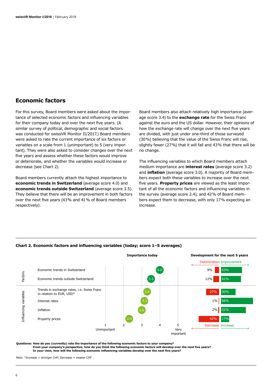## **Economic factors**

For this survey, Board members were asked about the importance of selected economic factors and influencing variables for their company today and over the next five years. (A similar survey of political, demographic and social factors was conducted for swissVR Monitor II/2017.) Board members were asked to rate the current importance of six factors or variables on a scale from 1 (unimportant) to 5 (very important). They were also asked to consider changes over the next five years and assess whether these factors would improve or deteriorate, and whether the variables would increase or decrease (see Chart 2).

Board members currently attach the highest importance to **economic trends in Switzerland** (average score 4.0) and **economic trends outside Switzerland** (average score 3.5). They believe that there will be an improvement in both factors over the next five years (43% and 41% of Board members respectively).

Board members also attach relatively high importance (average score 3.4) to the **exchange rate** for the Swiss Franc against the euro and the US dollar. However, their opinions of how the exchange rate will change over the next five years are divided, with just under one-third of those surveyed (30%) believing that the value of the Swiss Franc will rise, slightly fewer (27%) that it will fall and 43% that there will be no change.

The influencing variables to which Board members attach medium importance are **interest rates** (average score 3.2) and **inflation** (average score 3.0). A majority of Board members expect both these variables to increase over the next five years. **Property prices** are viewed as the least important of all the economic factors and influencing variables in the survey (average score 2.4), and 42% of Board members expect them to decrease, with only 17% expecting an increase.



### **Chart 2. Economic factors and influencing variables (today; score 1–5 averages)**

**Questions: How do you (currently) rate the importance of the following economic factors to your company?** 

**From your company's perspective, how do you think the following economic factors will develop over the next five years? In your view, how will the following economic influencing variables develop over the next five years?**

Note: \*Increase = stronger CHF; Decrease = weaker CHF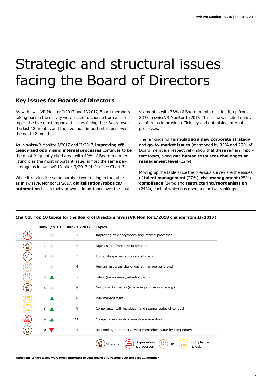# Strategic and structural issues facing the Board of Directors

# **Key issues for Boards of Directors**

As with swissVR Monitor I/2017 and II/2017, Board members taking part in the survey were asked to choose from a list of topics the five most important issues facing their Board over the last 12 months and the five most important issues over the next 12 months.

As in swissVR Monitor I/2017 and II/2017, **improving efficiency and optimising internal processes** continues to be the most frequently cited area, with 40% of Board members listing it as the most important issue, almost the same percentage as in swissVR Monitor II/2017 (41%) (see Chart 3).

While it retains the same number two ranking in the table as in swissVR Monitor II/2017, **digitalisation/robotics/ automation** has actually grown in importance over the past six months with 38% of Board members citing it, up from 33% in swissVR Monitor II/2017. This issue was cited nearly as often as improving efficiency and optimising internal processes.

The rankings for **formulating a new corporate strategy** and **go-to-market issues** (mentioned by 35% and 25% of Board members respectively) show that these remain important topics, along with **human resources challenges at management level** (32%).

Moving up the table since the previous survey are the issues of **talent management** (27%), **risk management** (25%), **compliance** (24%) and **restructuring/reorganisation** (24%), each of which has risen one or two rankings.

|          | <b>Rank I/2018</b> | <b>Rank II/2017</b> | <b>Topics</b>                                                                       |
|----------|--------------------|---------------------|-------------------------------------------------------------------------------------|
|          | 1                  | 1                   | Improving efficiency/optimising internal processes                                  |
|          | 2                  | 2                   | Digitalisation/robotics/automation                                                  |
| 입        | 3                  | 3                   | Formulating a new corporate strategy                                                |
| a<br>AAA | 4                  | 4                   | Human resources challenges at management level                                      |
| ÂÅÂ      | 5                  | 7                   | Talent (recruitment, retention, etc.)                                               |
| 입        | 6                  | 6                   | Go-to-market issues (marketing and sales strategy)                                  |
| 疆        | 7                  | 8                   | Risk management                                                                     |
| 疆        | 8                  | 9                   | Compliance (with legislation and internal codes of conduct)                         |
| ਇੰ       | 9                  | 11                  | Company level restructuring/reorganisation                                          |
|          | 10                 | 5                   | Responding to market developments/behaviour by competitors                          |
|          |                    |                     | Organisation<br>Compliance<br>ĀĀĀ<br><b>HR</b><br>Strategy<br>& Risk<br>& processes |

## **Chart 3. Top 10 topics for the Board of Directors (swissVR Monitor I/2018 change from II/2017)**

**Question: Which topics were most important to your Board of Directors over the past 12 months?**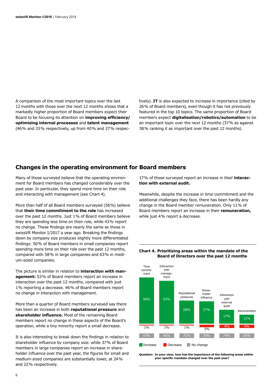A comparison of the most important topics over the last 12  months with those over the next 12 months shows that a markedly higher proportion of Board members expect their Board to be focusing its attention on **improving efficiency/ optimising internal processes** and **talent management** (46% and 33% respectively, up from 40% and 27% respec-

tively). **IT** is also expected to increase in importance (cited by 26% of Board members), even though it has not previously featured in the top 10 topics. The same proportion of Board members expect **digitalisation/robotics/automation** to be an important topic over the next 12 months (37% as against 38% ranking it as important over the past 12 months).

## **Changes in the operating environment for Board members**

Many of those surveyed believe that the operating environment for Board members has changed considerably over the past year. In particular, they spend more time on their role and interacting with management (see Chart 4).

More than half of all Board members surveyed (56%) believe that **their time commitment to the role** has increased over the past 12 months. Just 1% of Board members believe they are spending less time on their role, while 43% report no change. These findings are nearly the same as those in swissVR Monitor I/2017 a year ago. Breaking the findings down by company size produces slightly more differentiated findings: 50% of Board members in small companies report spending more time on their role over the past 12 months, compared with 58% in large companies and 63% in medium-sized companies.

The picture is similar in relation to **interaction with management:** 53% of Board members report an increase in interaction over the past 12 months, compared with just 1% reporting a decrease. 46% of Board members report no change in interaction with management.

More than a quarter of Board members surveyed say there has been an increase in both **reputational pressure** and **shareholder influence.** Most of the remaining Board members report no change in these aspects of the Board's operation, while a tiny minority report a small decrease.

It is also interesting to break down the findings in relation to shareholder influence by company size: while 37% of Board members in large companies report an increase in shareholder influence over the past year, the figures for small and medium-sized companies are substantially lower, at 24% and 22% respectively.

17% of those surveyed report an increase in their **interaction with external audit.**

Meanwhile, despite the increase in time commitment and the additional challenges they face, there has been hardly any change in the Board member remuneration. Only 11% of Board members report an increase in their **remuneration,** while just 4% report a decrease.

**Chart 4. Prioritizing areas within the mandate of the**

 **Board of Directors over the past 12 months**



#### **Question: In your view, how has the importance of the following areas within your specific mandate changed over the past year?**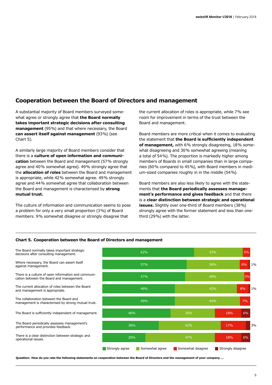# **Cooperation between the Board of Directors and management**

A substantial majority of Board members surveyed somewhat agree or strongly agree that **the Board normally takes important strategic decisions after consulting management** (95%) and that where necessary, the Board **can assert itself against management** (93%) (see Chart 5).

A similarly large majority of Board members consider that there is a **culture of open information and communication** between the Board and management (57% strongly agree and 40% somewhat agree). 49% strongly agree that the **allocation of roles** between the Board and management is appropriate, while 42% somewhat agree. 49% strongly agree and 44% somewhat agree that collaboration between the Board and management is characterised by **strong mutual trust.**

The culture of information and communication seems to pose a problem for only a very small proportion (3%) of Board members. 9% somewhat disagree or strongly disagree that

the current allocation of roles is appropriate, while 7% see room for improvement in terms of the trust between the Board and management.

Board members are more critical when it comes to evaluating the statement that **the Board is sufficiently independent of management,** with 6% strongly disagreeing, 18% somewhat disagreeing and 30% somewhat agreeing (meaning a total of 54%). The proportion is markedly higher among members of Boards in small companies than in large companies (60% compared to 45%), with Board members in medium-sized companies roughly in in the middle (54%).

Board members are also less likely to agree with the statements that **the Board periodically assesses management's performance and gives feedback** and that there is a **clear distinction between strategic and operational issues.** Slightly over one-third of Board members (38%) strongly agree with the former statement and less than onethird (29%) with the latter.

## **Chart 5. Cooperation between the Board of Directors and management**

Where necessary, the Board can assert itself against management. The Board normally takes important strategic decisions after consulting management. There is a culture of open information and communication between the Board and management. The current allocation of roles between the Board and management is appropriate. The collaboration between the Board and management is characterised by strong mutual trust. The Board is sufficiently independent of management.

The Board periodically assesses management's performance and provides feedback.

There is a clear distinction between strategic and operational issues.



**Question: How do you rate the following statements on cooperation between the Board of Directors and the management of your company …**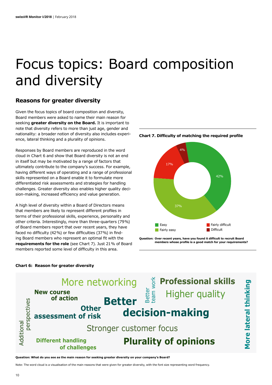# Focus topics: Board composition and diversity

## **Reasons for greater diversity**

Given the focus topics of board composition and diversity, Board members were asked to name their main reason for seeking **greater diversity on the Board.** It is important to note that diversity refers to more than just age, gender and nationality: a broader notion of diversity also includes experience, lateral thinking and a plurality of opinions.

Responses by Board members are reproduced in the word cloud in Chart 6 and show that Board diversity is not an end in itself but may be motivated by a range of factors that ultimately contribute to the company's success. For example, having different ways of operating and a range of professional skills represented on a Board enable it to formulate more differentiated risk assessments and strategies for handling challenges. Greater diversity also enables higher quality decision-making, increased efficiency and value generation.

A high level of diversity within a Board of Directors means that members are likely to represent different profiles in terms of their professional skills, experience, personality and other criteria. Interestingly, more than three-quarters (79%) of Board members report that over recent years, they have faced no difficulty (42%) or few difficulties (37%) in finding Board members who represent an optimal fit with the **requirements for the role** (see Chart 7). Just 21% of Board members reported some level of difficulty in this area.





**Question: Over recent years, have you found it difficult to recruit Board members whose profile is a good match for your requirements?**

## **Chart 6: Reason for greater diversity**



**Question: What do you see as the main reason for seeking greater diversity on your company's Board?**

Note: The word cloud is a visualisation of the main reasons that were given for greater diversity, with the font size representing word frequency.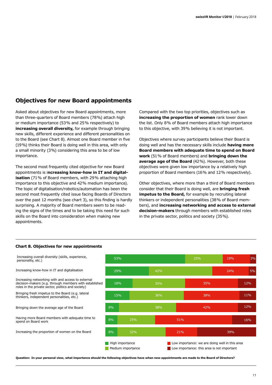# **Objectives for new Board appointments**

Asked about objectives for new Board appointments, more than three-quarters of Board members (78%) attach high or medium importance (53% and 25% respectively) to **increasing overall diversity,** for example through bringing new skills, different experience and different personalities on to the Board (see Chart 8). Almost one Board member in five (19%) thinks their Board is doing well in this area, with only a small minority (3%) considering this area to be of low importance.

The second most frequently cited objective for new Board appointments is i**ncreasing know-how in IT and digitalisation** (71% of Board members, with 29% attaching high importance to this objective and 42% medium importance). The topic of digitalisation/robotics/automation has been the second most frequently cited issue facing Boards of Directors over the past 12 months (see chart 3), so this finding is hardly surprising. A majority of Board members seem to be reading the signs of the times and to be taking this need for such skills on the Board into consideration when making new appointments.

Compared with the two top priorities, objectives such as **increasing the proportion of women** rank lower down the list. Only 8% of Board members attach high importance to this objective, with 39% believing it is not important.

Objectives where survey participants believe their Board is doing well and has the necessary skills include **having more Board members with adequate time to spend on Board work** (51% of Board members) and **bringing down the average age of the Board** (42%). However, both these objectives were given low importance by a relatively high proportion of Board members (16% and 12% respectively).

Other objectives, where more than a third of Board members consider that their Board is doing well, are **bringing fresh impetus to the Board,** for example by recruiting lateral thinkers or independent personalities (38% of Board members), and **increasing networking and access to external decision-makers** through members with established roles in the private sector, politics and society (35%).





**Question: In your personal view, what importance should the following objectives have when new appointments are made to the Board of Directors?**

#### **Chart 8. Objectives for new appointments**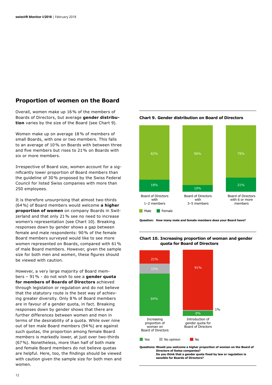## **Proportion of women on the Board**

Overall, women make up 16% of the members of Boards of Directors, but average **gender distribution** varies by the size of the Board (see Chart 9).

Women make up on average 18% of members of small Boards, with one or two members. This falls to an average of 10% on Boards with between three and five members but rises to 21% on Boards with six or more members.

Irrespective of Board size, women account for a significantly lower proportion of Board members than the guideline of 30% proposed by the Swiss Federal Council for listed Swiss companies with more than 250 employees.

It is therefore unsurprising that almost two-thirds (64%) of Board members would welcome **a higher proportion of women** on company Boards in Switzerland and that only 21% see no need to increase women's representation (see Chart 10). Breaking responses down by gender shows a gap between female and male respondents: 90% of the female Board members surveyed would like to see more women represented on Boards, compared with 61% of male Board members. However, given the sample size for both men and women, these figures should be viewed with caution.

However, a very large majority of Board members – 91% - do not wish to see a **gender quota for members of Boards of Directors** achieved through legislation or regulation and do not believe that the statutory route is the best way of achieving greater diversity. Only 8% of Board members are in favour of a gender quota, in fact. Breaking responses down by gender shows that there are further differences between women and men in terms of the desirability of a quota. While over nine out of ten male Board members (94%) are against such quotas, the proportion among female Board members is markedly lower, at just over two-thirds (67%). Nonetheless, more than half of both male and female Board members do not believe quotas are helpful. Here, too, the findings should be viewed with caution given the sample size for both men and women.



### **Chart 9. Gender distribution on Board of Directors**

**Question: How many male and female members does your Board have?**

### **Chart 10. Increasing proportion of woman and gender quota for Board of Directors**



12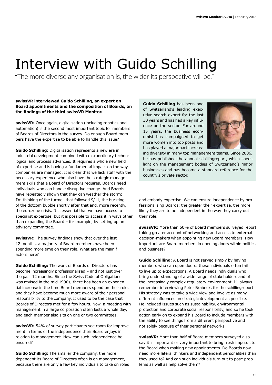# Interview with Guido Schilling

"The more diverse any organisation is, the wider its perspective will be."

## **swissVR interviewed Guido Schilling, an expert on Board appointments and the composition of Boards, on the findings of the third swissVR Monitor.**

**swissVR:** Once again, digitalisation (including robotics and automation) is the second most important topic for members of Boards of Directors in the survey. Do enough Board members have the expertise to be able to handle this issue?

**Guido Schilling:** Digitalisation represents a new era in industrial development combined with extraordinary technological and process advances. It requires a whole new field of expertise and is having a fundamental impact on the way companies are managed. It is clear that we lack staff with the necessary experience who also have the strategic management skills that a Board of Directors requires. Boards need individuals who can handle disruptive change. And Boards have repeatedly shown that they can weather the storm: I'm thinking of the turmoil that followed 9/11, the bursting of the dotcom bubble shortly after that and, more recently, the eurozone crisis. It is essential that we have access to specialist expertise, but it is possible to access it in ways other than expanding the Board – for example, by setting up an advisory committee.

**swissVR:** The survey findings show that over the last 12 months, a majority of Board members have been spending more time on their role. What are the main f actors here?

**Guido Schilling:** The work of Boards of Directors has become increasingly professionalised – and not just over the past 12 months. Since the Swiss Code of Obligations was revised in the mid-1990s, there has been an exponential increase in the time Board members spend on their role, and they have become much more aware of their personal responsibility to the company. It used to be the case that Boards of Directors met for a few hours. Now, a meeting with management in a large corporation often lasts a whole day, and each member also sits on one or two committees.

**swissVR:** 54% of survey participants see room for improvement in terms of the independence their Board enjoys in relation to management. How can such independence be ensured?

**Guido Schilling:** The smaller the company, the more dependent its Board of Directors often is on management, because there are only a few key individuals to take on roles

**Guido Schilling** has been one of Switzerland's leading executive search expert for the last 30 years and has had a key influence on the sector. For around 15 years, the business economist has campaigned to get more women into top posts and has played a major part increas-



ing diversity in many top management teams. Since 2006, he has published the annual schillingreport, which sheds light on the management bodies of Switzerland's major businesses and has become a standard reference for the country's private sector.

and embody expertise. We can ensure independence by professionalising Boards: the greater their expertise, the more likely they are to be independent in the way they carry out their role.

**swissVR:** More than 50% of Board members surveyed report taking greater account of networking and access to external decision-makers when appointing new Board members. How important are Board members in opening doors within politics and business?

**Guido Schilling:** A Board is not served simply by having members who can open doors: these individuals often fail to live up to expectations. A Board needs individuals who bring understanding of a wide range of stakeholders and of the increasingly complex regulatory environment. I'll always remember interviewing Peter Brabeck, for the schillingreport. His strategy was to take a wide view and involve as many different influences on strategic development as possible. He included issues such as sustainability, environmental protection and corporate social responsibility, and so he took action early on to expand his Board to include members with the ability to see things from a different perspective and not solely because of their personal networks.

**swissVR:** More than half of Board members surveyed also say it is important or very important to bring fresh impetus to the Board when making new appointments. Do Boards now need more lateral thinkers and independent personalities than they used to? And can such individuals turn out to pose problems as well as help solve them?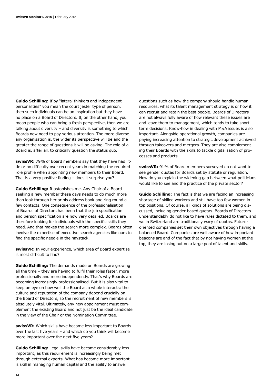**Guido Schilling:** If by "lateral thinkers and independent personalities" you mean the court jester type of person, then such individuals can be an inspiration but they have no place on a Board of Directors. If, on the other hand, you mean people who can bring a fresh perspective, then we are talking about diversity – and diversity is something to which Boards now need to pay serious attention. The more diverse any organisation is, the wider its perspective will be and the greater the range of questions it will be asking. The role of a Board is, after all, to critically question the status quo.

**swissVR:** 79% of Board members say that they have had little or no difficulty over recent years in matching the required role profile when appointing new members to their Board. That is a very positive finding – does it surprise you?

**Guido Schilling:** It astonishes me. Any Chair of a Board seeking a new member these days needs to do much more than look through her or his address book and ring round a few contacts. One consequence of the professionalisation of Boards of Directors has been that the job specification and person specification are now very detailed. Boards are therefore looking for individuals with the specific skills they need. And that makes the search more complex. Boards often involve the expertise of executive search agencies like ours to find the specific needle in the haystack.

**swissVR:** In your experience, which area of Board expertise is most difficult to find?

**Guido Schilling:** The demands made on Boards are growing all the time – they are having to fulfil their roles faster, more professionally and more independently. That's why Boards are becoming increasingly professionalised. But it is also vital to keep an eye on how well the Board as a whole interacts: the culture and reputation of the company depend crucially on the Board of Directors, so the recruitment of new members is absolutely vital. Ultimately, any new appointment must complement the existing Board and not just be the ideal candidate in the view of the Chair or the Nomination Committee.

**swissVR:** Which skills have become less important to Boards over the last five years – and which do you think will become more important over the next five years?

**Guido Schilling:** Legal skills have become considerably less important, as this requirement is increasingly being met through external experts. What has become more important is skill in managing human capital and the ability to answer

questions such as how the company should handle human resources, what its talent management strategy is or how it can recruit and retain the best people. Boards of Directors are not always fully aware of how relevant these issues are and leave them to management, which tends to take shortterm decisions. Know-how in dealing with M&A issues is also important. Alongside operational growth, companies are paying increasing attention to strategic development achieved through takeovers and mergers. They are also complementing their Boards with the skills to tackle digitalisation of processes and products.

**swissVR:** 91% of Board members surveyed do not want to see gender quotas for Boards set by statute or regulation. How do you explain the widening gap between what politicians would like to see and the practice of the private sector?

**Guido Schilling:** The fact is that we are facing an increasing shortage of skilled workers and still have too few women in top positions. Of course, all kinds of solutions are being discussed, including gender-based quotas. Boards of Directors understandably do not like to have rules dictated to them, and we in Switzerland are traditionally wary of quotas. Futureoriented companies set their own objectives through having a balanced Board. Companies are well aware of how important beacons are and of the fact that by not having women at the top, they are losing out on a large pool of talent and skills.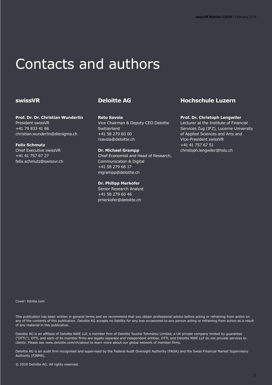# Contacts and authors

## **swissVR**

**Prof. Dr. Dr. Christian Wunderlin** President swissVR +41 79 833 41 86 christian.wunderlin@dienigma.ch

**Felix Schmutz** Chief Executive swissVR +41 41 757 67 27 felix.schmutz@swissvr.ch

## **Deloitte AG**

**Reto Savoia** Vice Chairman & Deputy CEO Deloitte **Switzerland** +41 58 279 60 00 rsavoia@deloitte.ch

**Dr. Michael Grampp** Chief Economist and Head of Research, Communication & Digital +41 58 279 68 17 mgrampp@deloitte.ch

**Dr. Philipp Merkofer** Senior Research Analyst

+41 58 279 60 46 pmerkofer@deloitte.ch

# **Hochschule Luzern**

## **Prof. Dr. Christoph Lengwiler**

Lecturer at the Institute of Financial Services Zug (IFZ), Lucerne University of Applied Sciences and Arts and Vice-President swissVR +41 41 757 67 51 christoph.lengwiler@hslu.ch

Cover: fotolia.com

This publication has been written in general terms and we recommend that you obtain professional advice before acting or refraining from action on any of the contents of this publication. Deloitte AG accepts no liability for any loss occasioned to any person acting or refraining from action as a result of any material in this publication.

Deloitte AG is an affiliate of Deloitte NWE LLP, a member firm of Deloitte Touche Tohmatsu Limited, a UK private company limited by guarantee ("DTTL"). DTTL and each of its member firms are legally separate and independent entities. DTTL and Deloitte NWE LLP do not provide services to clients. Please see www.deloitte.com/ch/about to learn more about our global network of member firms.

Deloitte AG is an audit firm recognised and supervised by the Federal Audit Oversight Authority (FAOA) and the Swiss Financial Market Supervisory Authority (FINMA).

© 2018 Deloitte AG. All rights reserved.